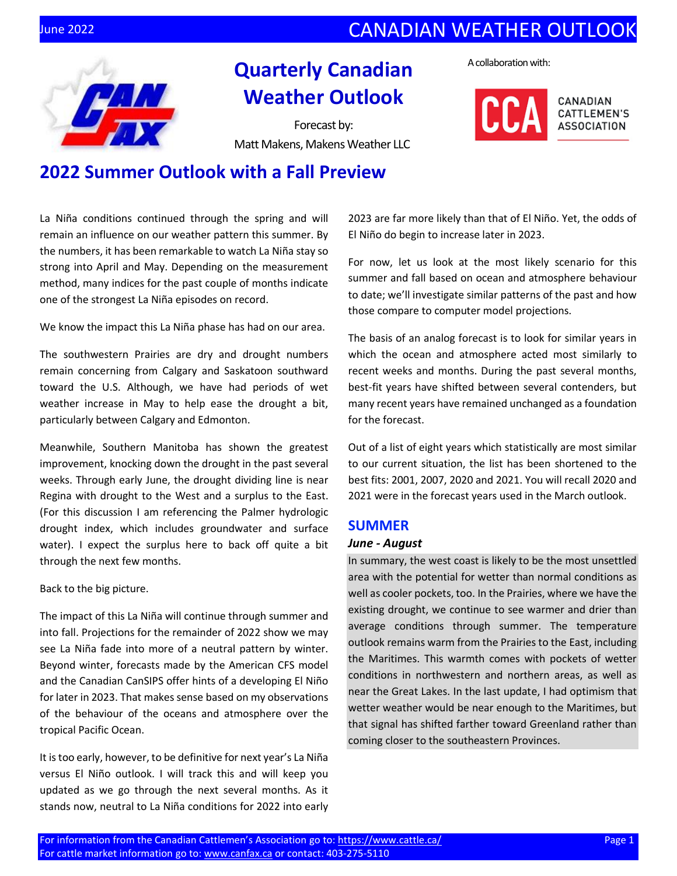## **UNE 2022** CANADIAN WEATHER OUTLOOK



# **Quarterly Canadian Weather Outlook**

Forecast by: Matt Makens, Makens Weather LLC A collaboration with:





# **2022 Summer Outlook with a Fall Preview**

La Niña conditions continued through the spring and will remain an influence on our weather pattern this summer. By the numbers, it has been remarkable to watch La Niña stay so strong into April and May. Depending on the measurement method, many indices for the past couple of months indicate one of the strongest La Niña episodes on record.

We know the impact this La Niña phase has had on our area.

The southwestern Prairies are dry and drought numbers remain concerning from Calgary and Saskatoon southward toward the U.S. Although, we have had periods of wet weather increase in May to help ease the drought a bit, particularly between Calgary and Edmonton.

Meanwhile, Southern Manitoba has shown the greatest improvement, knocking down the drought in the past several weeks. Through early June, the drought dividing line is near Regina with drought to the West and a surplus to the East. (For this discussion I am referencing the Palmer hydrologic drought index, which includes groundwater and surface water). I expect the surplus here to back off quite a bit through the next few months.

Back to the big picture.

The impact of this La Niña will continue through summer and into fall. Projections for the remainder of 2022 show we may see La Niña fade into more of a neutral pattern by winter. Beyond winter, forecasts made by the American CFS model and the Canadian CanSIPS offer hints of a developing El Niño for later in 2023. That makes sense based on my observations of the behaviour of the oceans and atmosphere over the tropical Pacific Ocean.

It is too early, however, to be definitive for next year's La Niña versus El Niño outlook. I will track this and will keep you updated as we go through the next several months. As it stands now, neutral to La Niña conditions for 2022 into early

2023 are far more likely than that of El Niño. Yet, the odds of El Niño do begin to increase later in 2023.

For now, let us look at the most likely scenario for this summer and fall based on ocean and atmosphere behaviour to date; we'll investigate similar patterns of the past and how those compare to computer model projections.

The basis of an analog forecast is to look for similar years in which the ocean and atmosphere acted most similarly to recent weeks and months. During the past several months, best-fit years have shifted between several contenders, but many recent years have remained unchanged as a foundation for the forecast.

Out of a list of eight years which statistically are most similar to our current situation, the list has been shortened to the best fits: 2001, 2007, 2020 and 2021. You will recall 2020 and 2021 were in the forecast years used in the March outlook.

#### **SUMMER**

#### *June - August*

In summary, the west coast is likely to be the most unsettled area with the potential for wetter than normal conditions as well as cooler pockets, too. In the Prairies, where we have the existing drought, we continue to see warmer and drier than average conditions through summer. The temperature outlook remains warm from the Prairies to the East, including the Maritimes. This warmth comes with pockets of wetter conditions in northwestern and northern areas, as well as near the Great Lakes. In the last update, I had optimism that wetter weather would be near enough to the Maritimes, but that signal has shifted farther toward Greenland rather than coming closer to the southeastern Provinces.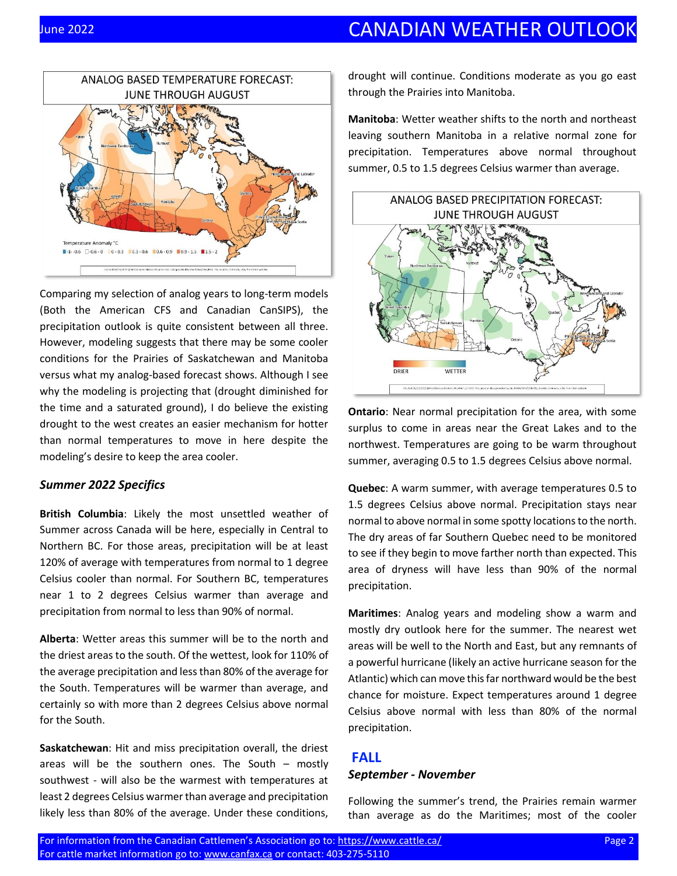### **UNE 2022** CANADIAN WEATHER OUTLOOK



Comparing my selection of analog years to long-term models (Both the American CFS and Canadian CanSIPS), the precipitation outlook is quite consistent between all three. However, modeling suggests that there may be some cooler conditions for the Prairies of Saskatchewan and Manitoba versus what my analog-based forecast shows. Although I see why the modeling is projecting that (drought diminished for the time and a saturated ground), I do believe the existing drought to the west creates an easier mechanism for hotter than normal temperatures to move in here despite the modeling's desire to keep the area cooler.

#### *Summer 2022 Specifics*

**British Columbia**: Likely the most unsettled weather of Summer across Canada will be here, especially in Central to Northern BC. For those areas, precipitation will be at least 120% of average with temperatures from normal to 1 degree Celsius cooler than normal. For Southern BC, temperatures near 1 to 2 degrees Celsius warmer than average and precipitation from normal to less than 90% of normal.

**Alberta**: Wetter areas this summer will be to the north and the driest areas to the south. Of the wettest, look for 110% of the average precipitation and less than 80% of the average for the South. Temperatures will be warmer than average, and certainly so with more than 2 degrees Celsius above normal for the South.

**Saskatchewan**: Hit and miss precipitation overall, the driest areas will be the southern ones. The South  $-$  mostly southwest - will also be the warmest with temperatures at least 2 degrees Celsius warmer than average and precipitation likely less than 80% of the average. Under these conditions,

drought will continue. Conditions moderate as you go east through the Prairies into Manitoba.

**Manitoba**: Wetter weather shifts to the north and northeast leaving southern Manitoba in a relative normal zone for precipitation. Temperatures above normal throughout summer, 0.5 to 1.5 degrees Celsius warmer than average.



**Ontario**: Near normal precipitation for the area, with some surplus to come in areas near the Great Lakes and to the northwest. Temperatures are going to be warm throughout summer, averaging 0.5 to 1.5 degrees Celsius above normal.

**Quebec**: A warm summer, with average temperatures 0.5 to 1.5 degrees Celsius above normal. Precipitation stays near normal to above normal in some spotty locations to the north. The dry areas of far Southern Quebec need to be monitored to see if they begin to move farther north than expected. This area of dryness will have less than 90% of the normal precipitation.

**Maritimes**: Analog years and modeling show a warm and mostly dry outlook here for the summer. The nearest wet areas will be well to the North and East, but any remnants of a powerful hurricane (likely an active hurricane season for the Atlantic) which can move this far northward would be the best chance for moisture. Expect temperatures around 1 degree Celsius above normal with less than 80% of the normal precipitation.

#### **FALL**

#### *September - November*

Following the summer's trend, the Prairies remain warmer than average as do the Maritimes; most of the cooler